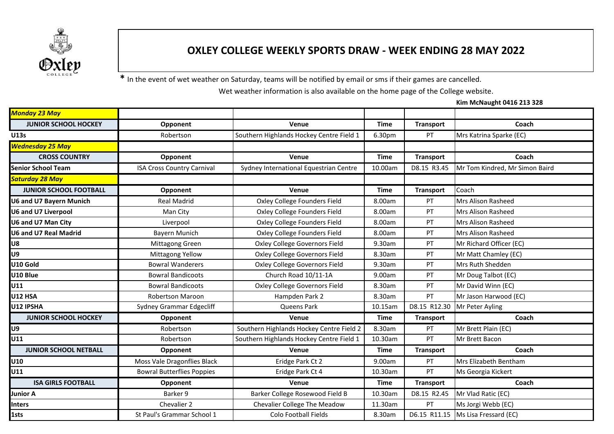

## **OXLEY COLLEGE WEEKLY SPORTS DRAW - WEEK ENDING 28 MAY 2022**

**\*** In the event of wet weather on Saturday, teams will be notified by email or sms if their games are cancelled.

Wet weather information is also available on the home page of the College website.

**Kim McNaught 0416 213 328**

| Monday 23 May                  |                                   |                                          |             |                  |                                |
|--------------------------------|-----------------------------------|------------------------------------------|-------------|------------------|--------------------------------|
| <b>JUNIOR SCHOOL HOCKEY</b>    | Opponent                          | Venue                                    | <b>Time</b> | <b>Transport</b> | Coach                          |
| <b>U13s</b>                    | Robertson                         | Southern Highlands Hockey Centre Field 1 | 6.30pm      | PT               | Mrs Katrina Sparke (EC)        |
| <b>Wednesday 25 May</b>        |                                   |                                          |             |                  |                                |
| <b>CROSS COUNTRY</b>           | Opponent                          | Venue                                    | <b>Time</b> | <b>Transport</b> | Coach                          |
| <b>Senior School Team</b>      | <b>ISA Cross Country Carnival</b> | Sydney International Equestrian Centre   | 10.00am     | D8.15 R3.45      | Mr Tom Kindred, Mr Simon Baird |
| <b>Saturday 28 May</b>         |                                   |                                          |             |                  |                                |
| <b>JUNIOR SCHOOL FOOTBALL</b>  | Opponent                          | Venue                                    | <b>Time</b> | <b>Transport</b> | Coach                          |
| <b>U6 and U7 Bayern Munich</b> | <b>Real Madrid</b>                | Oxley College Founders Field             | 8.00am      | PT               | Mrs Alison Rasheed             |
| <b>U6 and U7 Liverpool</b>     | Man City                          | Oxley College Founders Field             | 8.00am      | PT               | Mrs Alison Rasheed             |
| U6 and U7 Man City             | Liverpool                         | Oxley College Founders Field             | 8.00am      | PT               | Mrs Alison Rasheed             |
| <b>U6 and U7 Real Madrid</b>   | Bayern Munich                     | Oxley College Founders Field             | 8.00am      | PT               | <b>Mrs Alison Rasheed</b>      |
| U8                             | Mittagong Green                   | Oxley College Governors Field            | 9.30am      | PT               | Mr Richard Officer (EC)        |
| U9                             | Mittagong Yellow                  | Oxley College Governors Field            | 8.30am      | PT               | Mr Matt Chamley (EC)           |
| U10 Gold                       | <b>Bowral Wanderers</b>           | Oxley College Governors Field            | 9.30am      | PT               | Mrs Ruth Shedden               |
| U10 Blue                       | <b>Bowral Bandicoots</b>          | Church Road 10/11-1A                     | 9.00am      | PT               | Mr Doug Talbot (EC)            |
| U11                            | <b>Bowral Bandicoots</b>          | Oxley College Governors Field            | 8.30am      | PT               | Mr David Winn (EC)             |
| <b>U12 HSA</b>                 | <b>Robertson Maroon</b>           | Hampden Park 2                           | 8.30am      | PT               | Mr Jason Harwood (EC)          |
| U12 IPSHA                      | Sydney Grammar Edgecliff          | Queens Park                              | 10.15am     | D8.15 R12.30     | Mr Peter Ayling                |
| <b>JUNIOR SCHOOL HOCKEY</b>    | Opponent                          | Venue                                    | <b>Time</b> | <b>Transport</b> | Coach                          |
| U <sub>9</sub>                 | Robertson                         | Southern Highlands Hockey Centre Field 2 | 8.30am      | PT               | Mr Brett Plain (EC)            |
| U11                            | Robertson                         | Southern Highlands Hockey Centre Field 1 | 10.30am     | PT               | Mr Brett Bacon                 |
| <b>JUNIOR SCHOOL NETBALL</b>   | Opponent                          | Venue                                    | <b>Time</b> | <b>Transport</b> | Coach                          |
| U10                            | Moss Vale Dragonflies Black       | Eridge Park Ct 2                         | 9.00am      | PT               | Mrs Elizabeth Bentham          |
| U11                            | <b>Bowral Butterflies Poppies</b> | Eridge Park Ct 4                         | 10.30am     | PT               | Ms Georgia Kickert             |
| <b>ISA GIRLS FOOTBALL</b>      | Opponent                          | Venue                                    | <b>Time</b> | <b>Transport</b> | Coach                          |
| <b>Junior A</b>                | Barker 9                          | Barker College Rosewood Field B          | 10.30am     | D8.15 R2.45      | Mr Vlad Ratic (EC)             |
| <b>Inters</b>                  | Chevalier 2                       | <b>Chevalier College The Meadow</b>      | 11.30am     | PT               | Ms Jorgi Webb (EC)             |
| 1sts                           | St Paul's Grammar School 1        | Colo Football Fields                     | 8.30am      | D6.15 R11.15     | Ms Lisa Fressard (EC)          |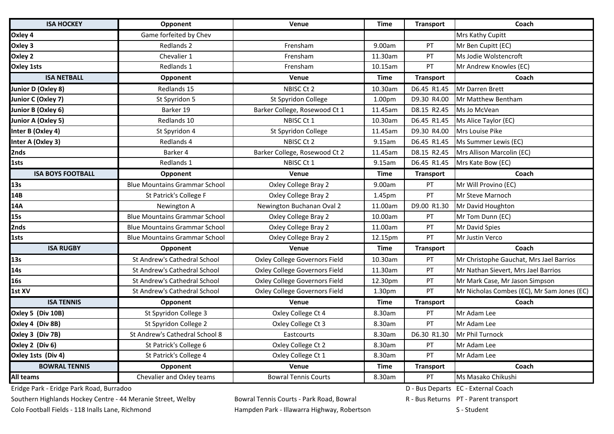| <b>ISA HOCKEY</b>        | Opponent                             | Venue                         | <b>Time</b> | <b>Transport</b> | Coach                                      |
|--------------------------|--------------------------------------|-------------------------------|-------------|------------------|--------------------------------------------|
| Oxley 4                  | Game forfeited by Chev               |                               |             |                  | Mrs Kathy Cupitt                           |
| Oxley 3                  | Redlands 2                           | Frensham                      | 9.00am      | PT               | Mr Ben Cupitt (EC)                         |
| Oxley 2                  | Chevalier 1                          | Frensham                      | 11.30am     | PT               | Ms Jodie Wolstencroft                      |
| <b>Oxley 1sts</b>        | Redlands 1                           | Frensham                      | 10.15am     | PT               | Mr Andrew Knowles (EC)                     |
| <b>ISA NETBALL</b>       | Opponent                             | Venue                         | <b>Time</b> | <b>Transport</b> | Coach                                      |
| Junior D (Oxley 8)       | Redlands 15                          | NBISC Ct 2                    | 10.30am     | D6.45 R1.45      | Mr Darren Brett                            |
| Junior C (Oxley 7)       | St Spyridon 5                        | St Spyridon College           | 1.00pm      | D9.30 R4.00      | <b>Mr Matthew Bentham</b>                  |
| Junior B (Oxley 6)       | Barker 19                            | Barker College, Rosewood Ct 1 | 11.45am     | D8.15 R2.45      | Ms Jo McVean                               |
| Junior A (Oxley 5)       | Redlands 10                          | NBISC Ct 1                    | 10.30am     | D6.45 R1.45      | Ms Alice Taylor (EC)                       |
| Inter B (Oxley 4)        | St Spyridon 4                        | St Spyridon College           | 11.45am     | D9.30 R4.00      | Mrs Louise Pike                            |
| Inter A (Oxley 3)        | Redlands 4                           | NBISC Ct 2                    | 9.15am      | D6.45 R1.45      | Ms Summer Lewis (EC)                       |
| 2nds                     | Barker 4                             | Barker College, Rosewood Ct 2 | 11.45am     | D8.15 R2.45      | Mrs Allison Marcolin (EC)                  |
| 1sts                     | Redlands 1                           | NBISC Ct 1                    | 9.15am      | D6.45 R1.45      | Mrs Kate Bow (EC)                          |
| <b>ISA BOYS FOOTBALL</b> | Opponent                             | Venue                         | <b>Time</b> | <b>Transport</b> | Coach                                      |
| 13s                      | <b>Blue Mountains Grammar School</b> | Oxley College Bray 2          | 9.00am      | PT               | Mr Will Provino (EC)                       |
| 14B                      | St Patrick's College F               | Oxley College Bray 2          | 1.45pm      | PT               | Mr Steve Marnoch                           |
| 14A                      | Newington A                          | Newington Buchanan Oval 2     | 11.00am     | D9.00 R1.30      | Mr David Houghton                          |
| 15s                      | <b>Blue Mountains Grammar School</b> | Oxley College Bray 2          | 10.00am     | PT               | Mr Tom Dunn (EC)                           |
| 2nds                     | <b>Blue Mountains Grammar School</b> | Oxley College Bray 2          | 11.00am     | PT               | Mr David Spies                             |
| 1sts                     | <b>Blue Mountains Grammar School</b> | Oxley College Bray 2          | 12.15pm     | PT               | Mr Justin Verco                            |
| <b>ISA RUGBY</b>         | Opponent                             | Venue                         | <b>Time</b> | <b>Transport</b> | Coach                                      |
| 13s                      | St Andrew's Cathedral School         | Oxley College Governors Field | 10.30am     | <b>PT</b>        | Mr Christophe Gauchat, Mrs Jael Barrios    |
| 14s                      | St Andrew's Cathedral School         | Oxley College Governors Field | 11.30am     | PT               | Mr Nathan Sievert, Mrs Jael Barrios        |
| 16s                      | St Andrew's Cathedral School         | Oxley College Governors Field | 12.30pm     | PT               | Mr Mark Case, Mr Jason Simpson             |
| 1st XV                   | St Andrew's Cathedral School         | Oxley College Governors Field | 1.30pm      | PT               | Mr Nicholas Combes (EC), Mr Sam Jones (EC) |
| <b>ISA TENNIS</b>        | Opponent                             | Venue                         | <b>Time</b> | <b>Transport</b> | Coach                                      |
| Oxley 5 (Div 10B)        | St Spyridon College 3                | Oxley College Ct 4            | 8.30am      | PT               | Mr Adam Lee                                |
| Oxley 4 (Div 8B)         | St Spyridon College 2                | Oxley College Ct 3            | 8.30am      | PT               | Mr Adam Lee                                |
| Oxley 3 (Div 7B)         | St Andrew's Cathedral School 8       | Eastcourts                    | 8.30am      | D6.30 R1.30      | Mr Phil Turnock                            |
| Oxley 2 (Div 6)          | St Patrick's College 6               | Oxley College Ct 2            | 8.30am      | PT               | Mr Adam Lee                                |
| Oxley 1sts (Div 4)       | St Patrick's College 4               | Oxley College Ct 1            | 8.30am      | PT               | Mr Adam Lee                                |
| <b>BOWRAL TENNIS</b>     | Opponent                             | Venue                         | <b>Time</b> | <b>Transport</b> | Coach                                      |
| <b>All teams</b>         | Chevalier and Oxley teams            | <b>Bowral Tennis Courts</b>   | 8.30am      | PT               | Ms Masako Chikushi                         |

Eridge Park - Eridge Park Road, Burradoo National Coach Coach Coach D - Bus Departs EC - External Coach

Southern Highlands Hockey Centre - 44 Meranie Street, Welby Bowral Tennis Courts - Park Road, Bowral Number 20 R - Bus Returns PT - Parent transport

Colo Football Fields - 118 Inalls Lane, Richmond **Hampden Park - Illawarra Highway, Robertson** S - Student S - Student